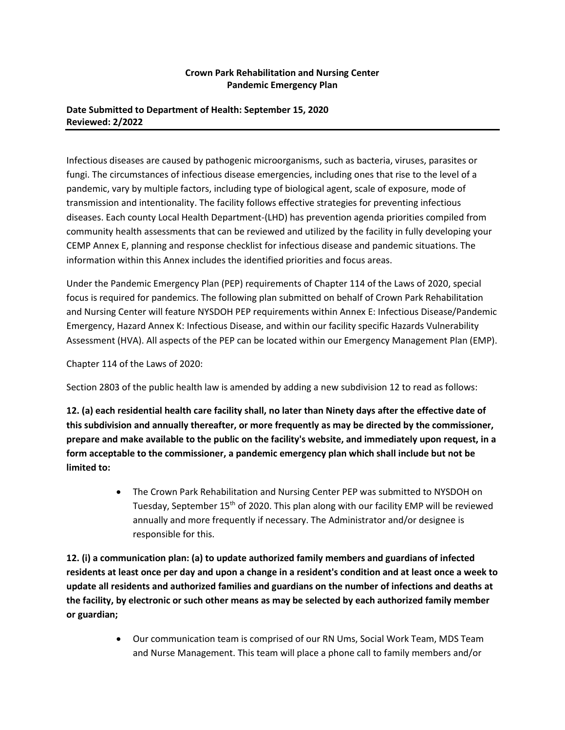## **Crown Park Rehabilitation and Nursing Center Pandemic Emergency Plan**

## **Date Submitted to Department of Health: September 15, 2020 Reviewed: 2/2022**

Infectious diseases are caused by pathogenic microorganisms, such as bacteria, viruses, parasites or fungi. The circumstances of infectious disease emergencies, including ones that rise to the level of a pandemic, vary by multiple factors, including type of biological agent, scale of exposure, mode of transmission and intentionality. The facility follows effective strategies for preventing infectious diseases. Each county Local Health Department-(LHD) has prevention agenda priorities compiled from community health assessments that can be reviewed and utilized by the facility in fully developing your CEMP Annex E, planning and response checklist for infectious disease and pandemic situations. The information within this Annex includes the identified priorities and focus areas.

Under the Pandemic Emergency Plan (PEP) requirements of Chapter 114 of the Laws of 2020, special focus is required for pandemics. The following plan submitted on behalf of Crown Park Rehabilitation and Nursing Center will feature NYSDOH PEP requirements within Annex E: Infectious Disease/Pandemic Emergency, Hazard Annex K: Infectious Disease, and within our facility specific Hazards Vulnerability Assessment (HVA). All aspects of the PEP can be located within our Emergency Management Plan (EMP).

Chapter 114 of the Laws of 2020:

Section 2803 of the public health law is amended by adding a new subdivision 12 to read as follows:

**12. (a) each residential health care facility shall, no later than Ninety days after the effective date of this subdivision and annually thereafter, or more frequently as may be directed by the commissioner, prepare and make available to the public on the facility's website, and immediately upon request, in a form acceptable to the commissioner, a pandemic emergency plan which shall include but not be limited to:**

> • The Crown Park Rehabilitation and Nursing Center PEP was submitted to NYSDOH on Tuesday, September 15<sup>th</sup> of 2020. This plan along with our facility EMP will be reviewed annually and more frequently if necessary. The Administrator and/or designee is responsible for this.

**12. (i) a communication plan: (a) to update authorized family members and guardians of infected residents at least once per day and upon a change in a resident's condition and at least once a week to update all residents and authorized families and guardians on the number of infections and deaths at the facility, by electronic or such other means as may be selected by each authorized family member or guardian;**

> • Our communication team is comprised of our RN Ums, Social Work Team, MDS Team and Nurse Management. This team will place a phone call to family members and/or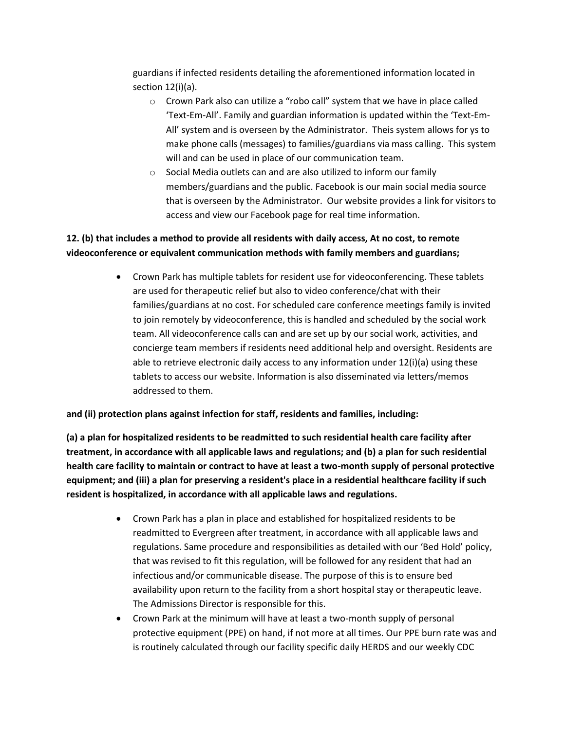guardians if infected residents detailing the aforementioned information located in section 12(i)(a).

- o Crown Park also can utilize a "robo call" system that we have in place called 'Text-Em-All'. Family and guardian information is updated within the 'Text-Em-All' system and is overseen by the Administrator. Theis system allows for ys to make phone calls (messages) to families/guardians via mass calling. This system will and can be used in place of our communication team.
- o Social Media outlets can and are also utilized to inform our family members/guardians and the public. Facebook is our main social media source that is overseen by the Administrator. Our website provides a link for visitors to access and view our Facebook page for real time information.

## **12. (b) that includes a method to provide all residents with daily access, At no cost, to remote videoconference or equivalent communication methods with family members and guardians;**

• Crown Park has multiple tablets for resident use for videoconferencing. These tablets are used for therapeutic relief but also to video conference/chat with their families/guardians at no cost. For scheduled care conference meetings family is invited to join remotely by videoconference, this is handled and scheduled by the social work team. All videoconference calls can and are set up by our social work, activities, and concierge team members if residents need additional help and oversight. Residents are able to retrieve electronic daily access to any information under 12(i)(a) using these tablets to access our website. Information is also disseminated via letters/memos addressed to them.

**and (ii) protection plans against infection for staff, residents and families, including:** 

**(a) a plan for hospitalized residents to be readmitted to such residential health care facility after treatment, in accordance with all applicable laws and regulations; and (b) a plan for such residential health care facility to maintain or contract to have at least a two-month supply of personal protective equipment; and (iii) a plan for preserving a resident's place in a residential healthcare facility if such resident is hospitalized, in accordance with all applicable laws and regulations.** 

- Crown Park has a plan in place and established for hospitalized residents to be readmitted to Evergreen after treatment, in accordance with all applicable laws and regulations. Same procedure and responsibilities as detailed with our 'Bed Hold' policy, that was revised to fit this regulation, will be followed for any resident that had an infectious and/or communicable disease. The purpose of this is to ensure bed availability upon return to the facility from a short hospital stay or therapeutic leave. The Admissions Director is responsible for this.
- Crown Park at the minimum will have at least a two-month supply of personal protective equipment (PPE) on hand, if not more at all times. Our PPE burn rate was and is routinely calculated through our facility specific daily HERDS and our weekly CDC